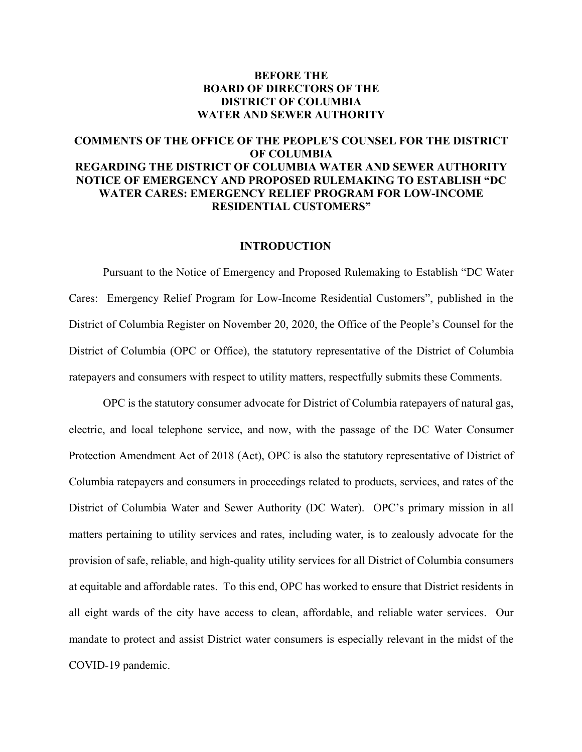## **BEFORE THE BOARD OF DIRECTORS OF THE DISTRICT OF COLUMBIA WATER AND SEWER AUTHORITY**

# **COMMENTS OF THE OFFICE OF THE PEOPLE'S COUNSEL FOR THE DISTRICT OF COLUMBIA REGARDING THE DISTRICT OF COLUMBIA WATER AND SEWER AUTHORITY NOTICE OF EMERGENCY AND PROPOSED RULEMAKING TO ESTABLISH "DC WATER CARES: EMERGENCY RELIEF PROGRAM FOR LOW-INCOME RESIDENTIAL CUSTOMERS"**

### **INTRODUCTION**

Pursuant to the Notice of Emergency and Proposed Rulemaking to Establish "DC Water Cares: Emergency Relief Program for Low-Income Residential Customers", published in the District of Columbia Register on November 20, 2020, the Office of the People's Counsel for the District of Columbia (OPC or Office), the statutory representative of the District of Columbia ratepayers and consumers with respect to utility matters, respectfully submits these Comments.

OPC is the statutory consumer advocate for District of Columbia ratepayers of natural gas, electric, and local telephone service, and now, with the passage of the DC Water Consumer Protection Amendment Act of 2018 (Act), OPC is also the statutory representative of District of Columbia ratepayers and consumers in proceedings related to products, services, and rates of the District of Columbia Water and Sewer Authority (DC Water). OPC's primary mission in all matters pertaining to utility services and rates, including water, is to zealously advocate for the provision of safe, reliable, and high-quality utility services for all District of Columbia consumers at equitable and affordable rates. To this end, OPC has worked to ensure that District residents in all eight wards of the city have access to clean, affordable, and reliable water services. Our mandate to protect and assist District water consumers is especially relevant in the midst of the COVID-19 pandemic.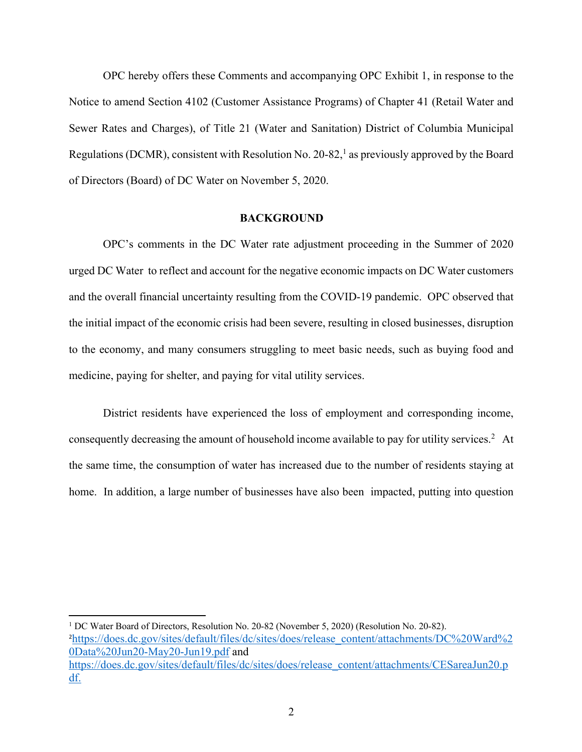OPC hereby offers these Comments and accompanying OPC Exhibit 1, in response to the Notice to amend Section 4102 (Customer Assistance Programs) of Chapter 41 (Retail Water and Sewer Rates and Charges), of Title 21 (Water and Sanitation) District of Columbia Municipal Regulations (DCMR), consistent with Resolution No. 20-82,<sup>1</sup> as previously approved by the Board of Directors (Board) of DC Water on November 5, 2020.

### **BACKGROUND**

OPC's comments in the DC Water rate adjustment proceeding in the Summer of 2020 urged DC Water to reflect and account for the negative economic impacts on DC Water customers and the overall financial uncertainty resulting from the COVID-19 pandemic. OPC observed that the initial impact of the economic crisis had been severe, resulting in closed businesses, disruption to the economy, and many consumers struggling to meet basic needs, such as buying food and medicine, paying for shelter, and paying for vital utility services.

District residents have experienced the loss of employment and corresponding income, consequently decreasing the amount of household income available to pay for utility services.2 At the same time, the consumption of water has increased due to the number of residents staying at home. In addition, a large number of businesses have also been impacted, putting into question

<sup>1</sup> DC Water Board of Directors, Resolution No. 20-82 (November 5, 2020) (Resolution No. 20-82). <sup>2</sup>https://does.dc.gov/sites/default/files/dc/sites/does/release\_content/attachments/DC%20Ward%2 0Data%20Jun20-May20-Jun19.pdf and https://does.dc.gov/sites/default/files/dc/sites/does/release\_content/attachments/CESareaJun20.p df.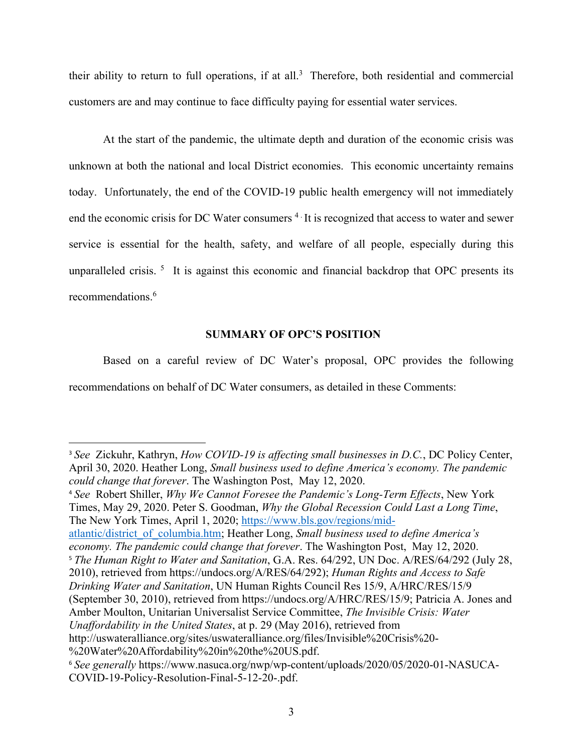their ability to return to full operations, if at all.<sup>3</sup> Therefore, both residential and commercial customers are and may continue to face difficulty paying for essential water services.

At the start of the pandemic, the ultimate depth and duration of the economic crisis was unknown at both the national and local District economies. This economic uncertainty remains today. Unfortunately, the end of the COVID-19 public health emergency will not immediately end the economic crisis for DC Water consumers <sup>4</sup> It is recognized that access to water and sewer service is essential for the health, safety, and welfare of all people, especially during this unparalleled crisis.<sup>5</sup> It is against this economic and financial backdrop that OPC presents its recommendations.<sup>6</sup>

## **SUMMARY OF OPC'S POSITION**

Based on a careful review of DC Water's proposal, OPC provides the following recommendations on behalf of DC Water consumers, as detailed in these Comments:

<sup>4</sup> *See* Robert Shiller, *Why We Cannot Foresee the Pandemic's Long-Term Effects*, New York Times, May 29, 2020. Peter S. Goodman, *Why the Global Recession Could Last a Long Time*, The New York Times, April 1, 2020; https://www.bls.gov/regions/mid-

atlantic/district\_of\_columbia.htm; Heather Long, *Small business used to define America's economy. The pandemic could change that forever*. The Washington Post, May 12, 2020.

<sup>5</sup> *The Human Right to Water and Sanitation*, G.A. Res. 64/292, UN Doc. A/RES/64/292 (July 28, 2010), retrieved from https://undocs.org/A/RES/64/292); *Human Rights and Access to Safe* 

*Drinking Water and Sanitation*, UN Human Rights Council Res 15/9, A/HRC/RES/15/9 (September 30, 2010), retrieved from https://undocs.org/A/HRC/RES/15/9; Patricia A. Jones and Amber Moulton, Unitarian Universalist Service Committee, *The Invisible Crisis: Water* 

http://uswateralliance.org/sites/uswateralliance.org/files/Invisible%20Crisis%20-

<sup>3</sup> *See* Zickuhr, Kathryn, *How COVID-19 is affecting small businesses in D.C.*, DC Policy Center, April 30, 2020. Heather Long, *Small business used to define America's economy. The pandemic could change that forever*. The Washington Post, May 12, 2020.

*Unaffordability in the United States*, at p. 29 (May 2016), retrieved from

<sup>%20</sup>Water%20Affordability%20in%20the%20US.pdf.

<sup>6</sup> *See generally* https://www.nasuca.org/nwp/wp-content/uploads/2020/05/2020-01-NASUCA-COVID-19-Policy-Resolution-Final-5-12-20-.pdf.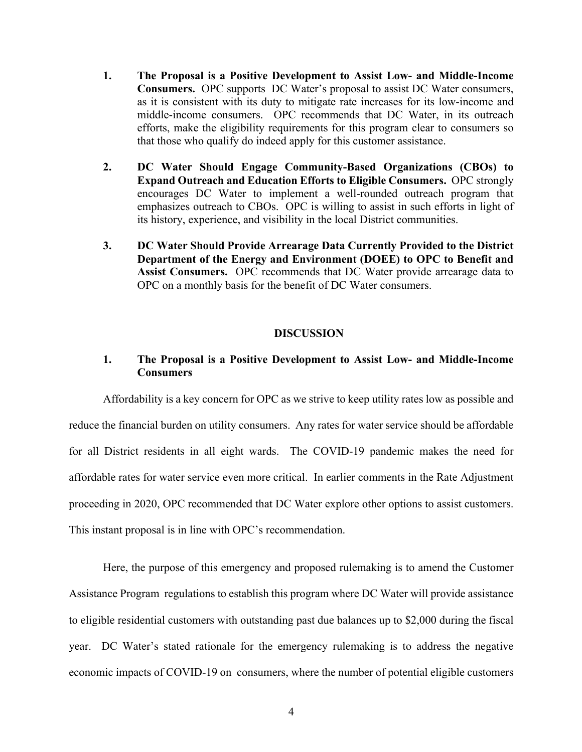- **1. The Proposal is a Positive Development to Assist Low- and Middle-Income Consumers.** OPC supports DC Water's proposal to assist DC Water consumers, as it is consistent with its duty to mitigate rate increases for its low-income and middle-income consumers. OPC recommends that DC Water, in its outreach efforts, make the eligibility requirements for this program clear to consumers so that those who qualify do indeed apply for this customer assistance.
- **2. DC Water Should Engage Community-Based Organizations (CBOs) to Expand Outreach and Education Efforts to Eligible Consumers.** OPC strongly encourages DC Water to implement a well-rounded outreach program that emphasizes outreach to CBOs. OPC is willing to assist in such efforts in light of its history, experience, and visibility in the local District communities.
- **3. DC Water Should Provide Arrearage Data Currently Provided to the District Department of the Energy and Environment (DOEE) to OPC to Benefit and Assist Consumers.** OPC recommends that DC Water provide arrearage data to OPC on a monthly basis for the benefit of DC Water consumers.

### **DISCUSSION**

### **1. The Proposal is a Positive Development to Assist Low- and Middle-Income Consumers**

Affordability is a key concern for OPC as we strive to keep utility rates low as possible and reduce the financial burden on utility consumers. Any rates for water service should be affordable for all District residents in all eight wards. The COVID-19 pandemic makes the need for affordable rates for water service even more critical. In earlier comments in the Rate Adjustment proceeding in 2020, OPC recommended that DC Water explore other options to assist customers. This instant proposal is in line with OPC's recommendation.

Here, the purpose of this emergency and proposed rulemaking is to amend the Customer Assistance Program regulations to establish this program where DC Water will provide assistance to eligible residential customers with outstanding past due balances up to \$2,000 during the fiscal year. DC Water's stated rationale for the emergency rulemaking is to address the negative economic impacts of COVID-19 on consumers, where the number of potential eligible customers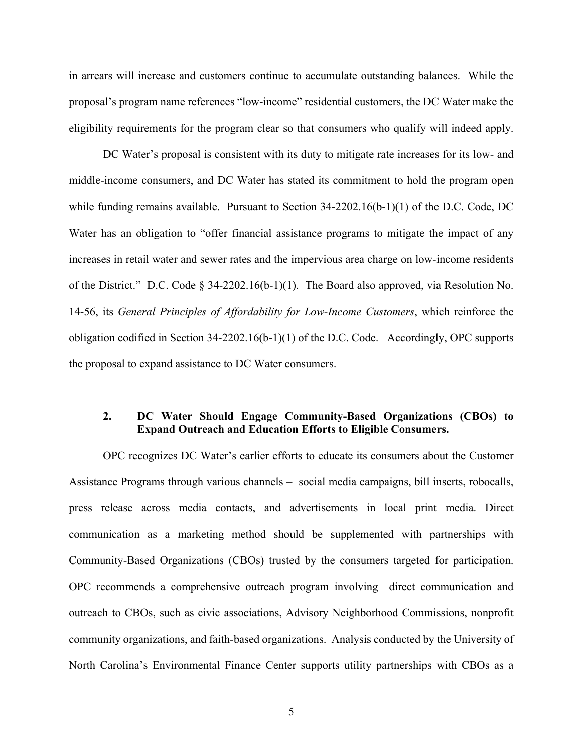in arrears will increase and customers continue to accumulate outstanding balances. While the proposal's program name references "low-income" residential customers, the DC Water make the eligibility requirements for the program clear so that consumers who qualify will indeed apply.

DC Water's proposal is consistent with its duty to mitigate rate increases for its low- and middle-income consumers, and DC Water has stated its commitment to hold the program open while funding remains available. Pursuant to Section  $34-2202.16(b-1)(1)$  of the D.C. Code, DC Water has an obligation to "offer financial assistance programs to mitigate the impact of any increases in retail water and sewer rates and the impervious area charge on low-income residents of the District." D.C. Code § 34-2202.16(b-1)(1). The Board also approved, via Resolution No. 14-56, its *General Principles of Affordability for Low-Income Customers*, which reinforce the obligation codified in Section 34-2202.16(b-1)(1) of the D.C. Code. Accordingly, OPC supports the proposal to expand assistance to DC Water consumers.

## **2. DC Water Should Engage Community-Based Organizations (CBOs) to Expand Outreach and Education Efforts to Eligible Consumers.**

OPC recognizes DC Water's earlier efforts to educate its consumers about the Customer Assistance Programs through various channels – social media campaigns, bill inserts, robocalls, press release across media contacts, and advertisements in local print media. Direct communication as a marketing method should be supplemented with partnerships with Community-Based Organizations (CBOs) trusted by the consumers targeted for participation. OPC recommends a comprehensive outreach program involving direct communication and outreach to CBOs, such as civic associations, Advisory Neighborhood Commissions, nonprofit community organizations, and faith-based organizations. Analysis conducted by the University of North Carolina's Environmental Finance Center supports utility partnerships with CBOs as a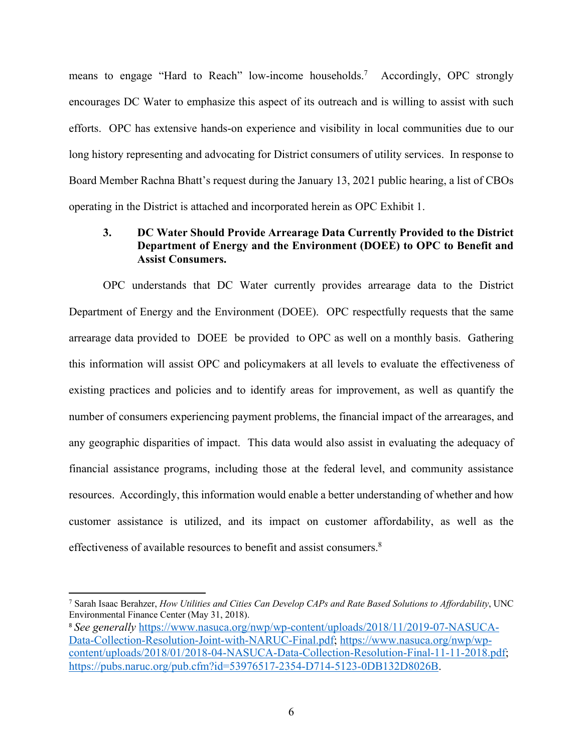means to engage "Hard to Reach" low-income households.7 Accordingly, OPC strongly encourages DC Water to emphasize this aspect of its outreach and is willing to assist with such efforts. OPC has extensive hands-on experience and visibility in local communities due to our long history representing and advocating for District consumers of utility services. In response to Board Member Rachna Bhatt's request during the January 13, 2021 public hearing, a list of CBOs operating in the District is attached and incorporated herein as OPC Exhibit 1.

# **3. DC Water Should Provide Arrearage Data Currently Provided to the District Department of Energy and the Environment (DOEE) to OPC to Benefit and Assist Consumers.**

OPC understands that DC Water currently provides arrearage data to the District Department of Energy and the Environment (DOEE). OPC respectfully requests that the same arrearage data provided to DOEE be provided to OPC as well on a monthly basis. Gathering this information will assist OPC and policymakers at all levels to evaluate the effectiveness of existing practices and policies and to identify areas for improvement, as well as quantify the number of consumers experiencing payment problems, the financial impact of the arrearages, and any geographic disparities of impact. This data would also assist in evaluating the adequacy of financial assistance programs, including those at the federal level, and community assistance resources. Accordingly, this information would enable a better understanding of whether and how customer assistance is utilized, and its impact on customer affordability, as well as the effectiveness of available resources to benefit and assist consumers.<sup>8</sup>

<sup>7</sup> Sarah Isaac Berahzer, *How Utilities and Cities Can Develop CAPs and Rate Based Solutions to Affordability*, UNC Environmental Finance Center (May 31, 2018).

<sup>8</sup> *See generally* https://www.nasuca.org/nwp/wp-content/uploads/2018/11/2019-07-NASUCA-Data-Collection-Resolution-Joint-with-NARUC-Final.pdf; https://www.nasuca.org/nwp/wpcontent/uploads/2018/01/2018-04-NASUCA-Data-Collection-Resolution-Final-11-11-2018.pdf; https://pubs.naruc.org/pub.cfm?id=53976517-2354-D714-5123-0DB132D8026B.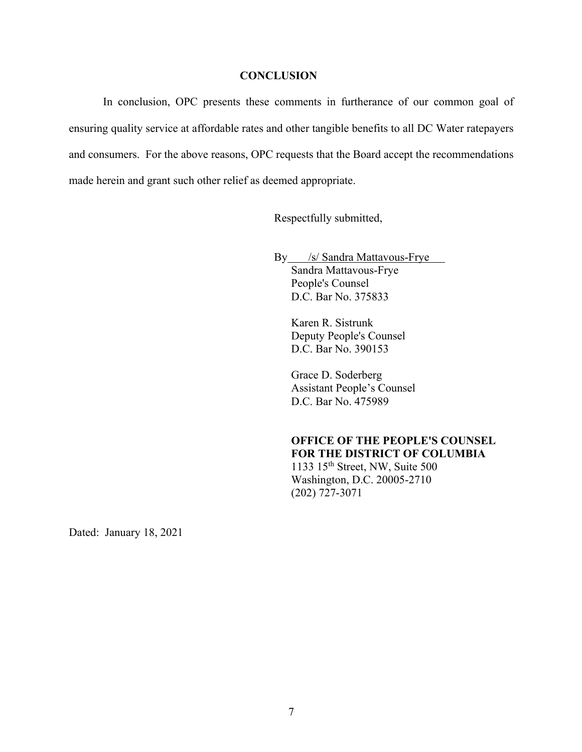### **CONCLUSION**

In conclusion, OPC presents these comments in furtherance of our common goal of ensuring quality service at affordable rates and other tangible benefits to all DC Water ratepayers and consumers. For the above reasons, OPC requests that the Board accept the recommendations made herein and grant such other relief as deemed appropriate.

Respectfully submitted,

By /s/ Sandra Mattavous-Frye Sandra Mattavous-Frye People's Counsel D.C. Bar No. 375833

> Karen R. Sistrunk Deputy People's Counsel D.C. Bar No. 390153

Grace D. Soderberg Assistant People's Counsel D.C. Bar No. 475989

## **OFFICE OF THE PEOPLE'S COUNSEL FOR THE DISTRICT OF COLUMBIA** 1133 15th Street, NW, Suite 500

Washington, D.C. 20005-2710 (202) 727-3071

Dated: January 18, 2021